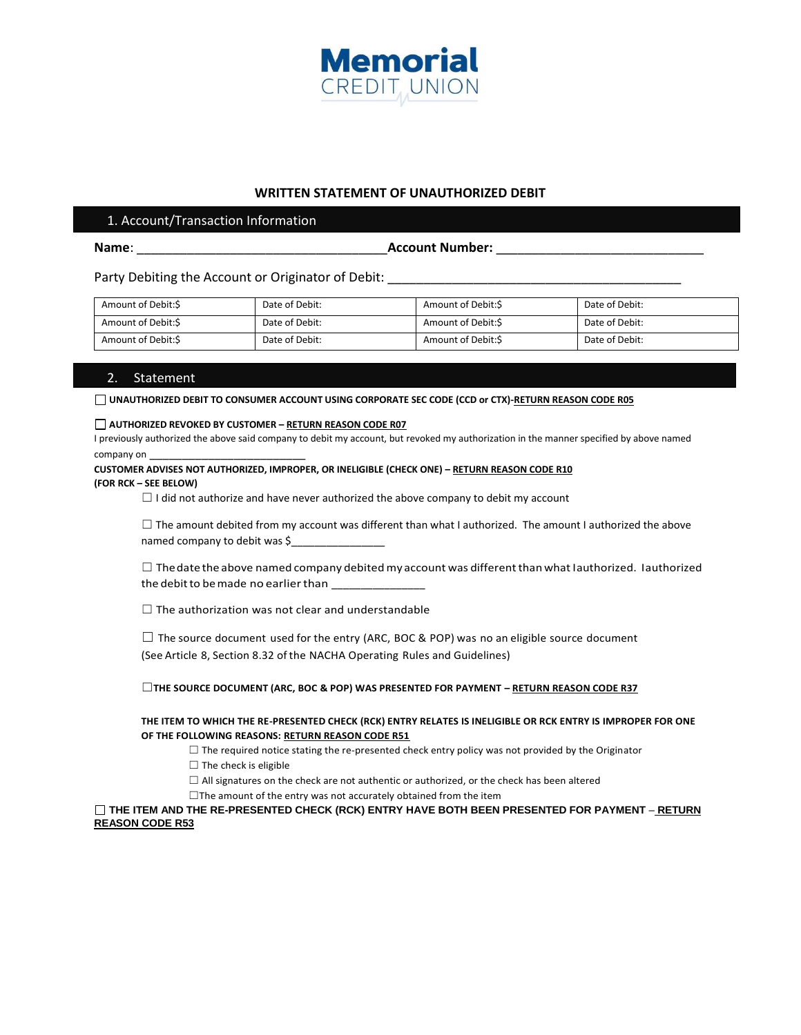

## **WRITTEN STATEMENT OF UNAUTHORIZED DEBIT**

### 1. Account/Transaction Information

**Name**: \_\_\_\_\_\_\_\_\_\_\_\_\_\_\_\_\_\_\_\_\_\_\_\_\_\_\_\_\_\_\_\_\_\_\_**Account Number:** \_\_\_\_\_\_\_\_\_\_\_\_\_\_\_\_\_\_\_\_\_\_\_\_\_\_\_\_\_

Party Debiting the Account or Originator of Debit: \_\_\_\_\_\_\_\_\_\_\_\_\_\_\_\_\_\_\_\_\_\_\_\_\_\_\_\_\_\_

| Amount of Debit:S  | Date of Debit: | Amount of Debit:S | Date of Debit: |
|--------------------|----------------|-------------------|----------------|
| Amount of Debit:\$ | Date of Debit: | Amount of Debit:S | Date of Debit: |
| Amount of Debit:S  | Date of Debit: | Amount of Debit:S | Date of Debit: |

## 2. Statement

UNAUTHORIZED DEBIT TO CONSUMER ACCOUNT USING CORPORATE SEC CODE (CCD or CTX)-RETURN REASON CODE R05

#### **AUTHORIZED REVOKED BY CUSTOMER – RETURN REASON CODE R07**

I previously authorized the above said company to debit my account, but revoked my authorization in the manner specified by above named company on \_\_\_\_\_\_\_\_\_\_\_\_\_\_\_\_\_\_\_\_\_\_\_\_

# **CUSTOMER ADVISES NOT AUTHORIZED, IMPROPER, OR INELIGIBLE (CHECK ONE) – RETURN REASON CODE R10**

#### **(FOR RCK – SEE BELOW)**

 $\Box$  I did not authorize and have never authorized the above company to debit my account

 $\Box$  The amount debited from my account was different than what I authorized. The amount I authorized the above named company to debit was \$

 $\Box$  The date the above named company debited my account was different than what Iauthorized. Iauthorized the debit to be made no earlier than \_\_\_\_\_\_\_\_\_\_\_\_\_\_

 $\Box$  The authorization was not clear and understandable

 $\square$  The source document used for the entry (ARC, BOC & POP) was no an eligible source document (See Article 8, Section 8.32 of the NACHA Operating Rules and Guidelines)

☐**THE SOURCE DOCUMENT (ARC, BOC & POP) WAS PRESENTED FOR PAYMENT – RETURN REASON CODE R37**

**THE ITEM TO WHICH THE RE-PRESENTED CHECK (RCK) ENTRY RELATES IS INELIGIBLE OR RCK ENTRY IS IMPROPER FOR ONE OF THE FOLLOWING REASONS: RETURN REASON CODE R51**

 $\Box$  The required notice stating the re-presented check entry policy was not provided by the Originator

 $\Box$  The check is eligible

 $\Box$  All signatures on the check are not authentic or authorized, or the check has been altered

 $\Box$ The amount of the entry was not accurately obtained from the item

**THE ITEM AND THE RE-PRESENTED CHECK (RCK) ENTRY HAVE BOTH BEEN PRESENTED FOR PAYMENT** – **RETURN REASON CODE R53**